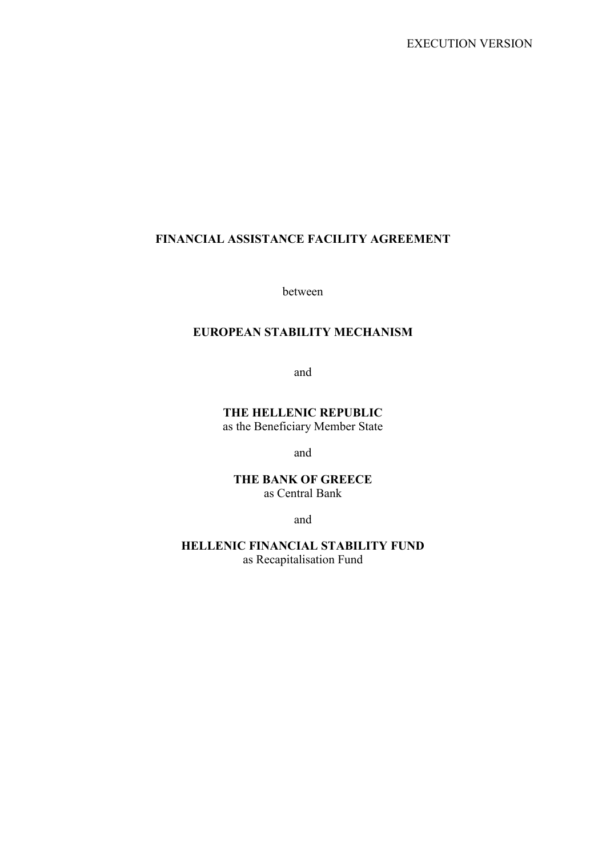### FINANCIAL ASSISTANCE FACILITY AGREEMENT

between

# EUROPEAN STABILITY MECHANISM

and

THE HELLENIC REPUBLIC as the Beneficiary Member State

and

THE BANK OF GREECE as Central Bank

and

HELLENIC FINANCIAL STABILITY FUND as Recapitalisation Fund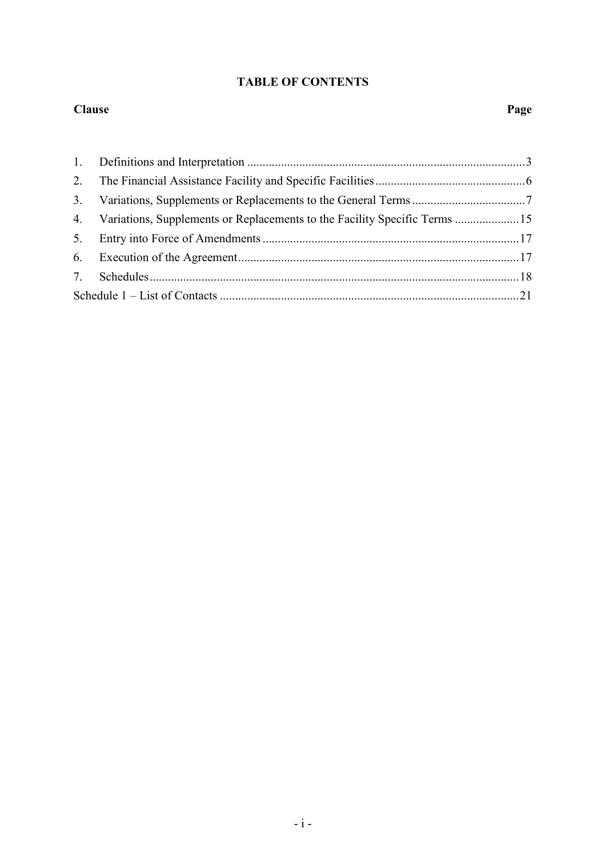# TABLE OF CONTENTS

#### Clause Page

|  | 4. Variations, Supplements or Replacements to the Facility Specific Terms 15 |  |
|--|------------------------------------------------------------------------------|--|
|  |                                                                              |  |
|  |                                                                              |  |
|  |                                                                              |  |
|  |                                                                              |  |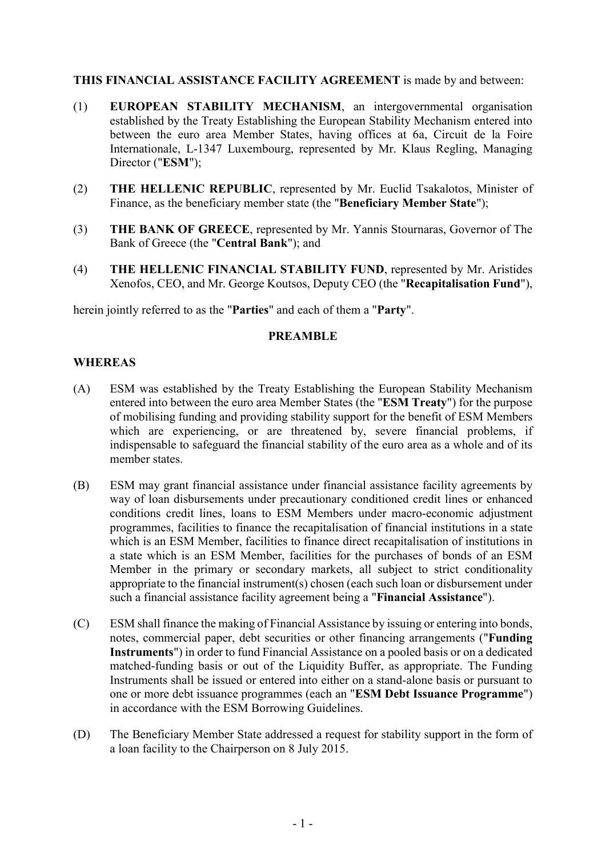#### THIS FINANCIAL ASSISTANCE FACILITY AGREEMENT is made by and between:

- (1) EUROPEAN STABILITY MECHANISM, an intergovernmental organisation established by the Treaty Establishing the European Stability Mechanism entered into between the euro area Member States, having offices at 6a, Circuit de la Foire Internationale, L-1347 Luxembourg, represented by Mr. Klaus Regling, Managing Director ("ESM");
- (2) THE HELLENIC REPUBLIC, represented by Mr. Euclid Tsakalotos, Minister of Finance, as the beneficiary member state (the "Beneficiary Member State");
- (3) THE BANK OF GREECE, represented by Mr. Yannis Stournaras, Governor of The Bank of Greece (the "Central Bank"); and
- (4) THE HELLENIC FINANCIAL STABILITY FUND, represented by Mr. Aristides Xenofos, CEO, and Mr. George Koutsos, Deputy CEO (the "Recapitalisation Fund"),

herein jointly referred to as the "Parties" and each of them a "Party".

#### PREAMBLE

#### WHEREAS

- (A) ESM was established by the Treaty Establishing the European Stability Mechanism entered into between the euro area Member States (the "ESM Treaty") for the purpose of mobilising funding and providing stability support for the benefit of ESM Members which are experiencing, or are threatened by, severe financial problems, if indispensable to safeguard the financial stability of the euro area as a whole and of its member states.
- (B) ESM may grant financial assistance under financial assistance facility agreements by way of loan disbursements under precautionary conditioned credit lines or enhanced conditions credit lines, loans to ESM Members under macro-economic adjustment programmes, facilities to finance the recapitalisation of financial institutions in a state which is an ESM Member, facilities to finance direct recapitalisation of institutions in a state which is an ESM Member, facilities for the purchases of bonds of an ESM Member in the primary or secondary markets, all subject to strict conditionality appropriate to the financial instrument(s) chosen (each such loan or disbursement under such a financial assistance facility agreement being a "Financial Assistance").
- (C) ESM shall finance the making of Financial Assistance by issuing or entering into bonds, notes, commercial paper, debt securities or other financing arrangements ("Funding Instruments") in order to fund Financial Assistance on a pooled basis or on a dedicated matched-funding basis or out of the Liquidity Buffer, as appropriate. The Funding Instruments shall be issued or entered into either on a stand-alone basis or pursuant to one or more debt issuance programmes (each an "ESM Debt Issuance Programme") in accordance with the ESM Borrowing Guidelines.
- (D) The Beneficiary Member State addressed a request for stability support in the form of a loan facility to the Chairperson on 8 July 2015.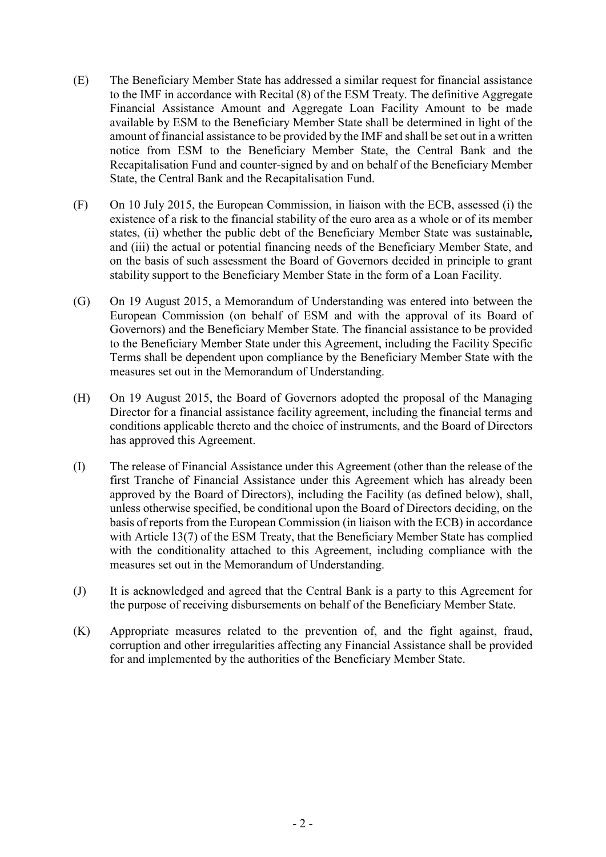- (E) The Beneficiary Member State has addressed a similar request for financial assistance to the IMF in accordance with Recital (8) of the ESM Treaty. The definitive Aggregate Financial Assistance Amount and Aggregate Loan Facility Amount to be made available by ESM to the Beneficiary Member State shall be determined in light of the amount of financial assistance to be provided by the IMF and shall be set out in a written notice from ESM to the Beneficiary Member State, the Central Bank and the Recapitalisation Fund and counter-signed by and on behalf of the Beneficiary Member State, the Central Bank and the Recapitalisation Fund.
- (F) On 10 July 2015, the European Commission, in liaison with the ECB, assessed (i) the existence of a risk to the financial stability of the euro area as a whole or of its member states, (ii) whether the public debt of the Beneficiary Member State was sustainable*,* and (iii) the actual or potential financing needs of the Beneficiary Member State, and on the basis of such assessment the Board of Governors decided in principle to grant stability support to the Beneficiary Member State in the form of a Loan Facility.
- (G) On 19 August 2015, a Memorandum of Understanding was entered into between the European Commission (on behalf of ESM and with the approval of its Board of Governors) and the Beneficiary Member State. The financial assistance to be provided to the Beneficiary Member State under this Agreement, including the Facility Specific Terms shall be dependent upon compliance by the Beneficiary Member State with the measures set out in the Memorandum of Understanding.
- (H) On 19 August 2015, the Board of Governors adopted the proposal of the Managing Director for a financial assistance facility agreement, including the financial terms and conditions applicable thereto and the choice of instruments, and the Board of Directors has approved this Agreement.
- (I) The release of Financial Assistance under this Agreement (other than the release of the first Tranche of Financial Assistance under this Agreement which has already been approved by the Board of Directors), including the Facility (as defined below), shall, unless otherwise specified, be conditional upon the Board of Directors deciding, on the basis of reports from the European Commission (in liaison with the ECB) in accordance with Article 13(7) of the ESM Treaty, that the Beneficiary Member State has complied with the conditionality attached to this Agreement, including compliance with the measures set out in the Memorandum of Understanding.
- (J) It is acknowledged and agreed that the Central Bank is a party to this Agreement for the purpose of receiving disbursements on behalf of the Beneficiary Member State.
- (K) Appropriate measures related to the prevention of, and the fight against, fraud, corruption and other irregularities affecting any Financial Assistance shall be provided for and implemented by the authorities of the Beneficiary Member State.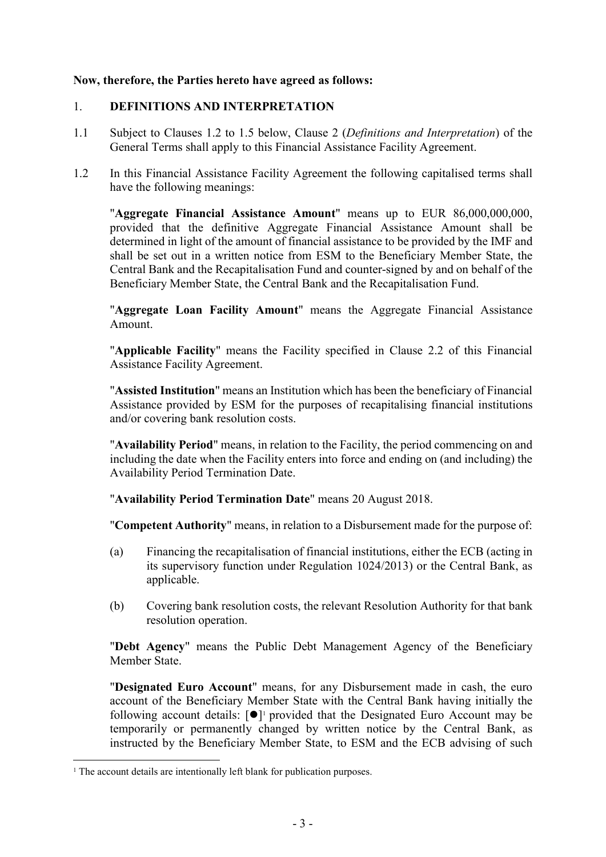### Now, therefore, the Parties hereto have agreed as follows:

## 1. DEFINITIONS AND INTERPRETATION

- 1.1 Subject to Clauses 1.2 to 1.5 below, Clause 2 (*Definitions and Interpretation*) of the General Terms shall apply to this Financial Assistance Facility Agreement.
- 1.2 In this Financial Assistance Facility Agreement the following capitalised terms shall have the following meanings:

"Aggregate Financial Assistance Amount" means up to EUR 86,000,000,000, provided that the definitive Aggregate Financial Assistance Amount shall be determined in light of the amount of financial assistance to be provided by the IMF and shall be set out in a written notice from ESM to the Beneficiary Member State, the Central Bank and the Recapitalisation Fund and counter-signed by and on behalf of the Beneficiary Member State, the Central Bank and the Recapitalisation Fund.

"Aggregate Loan Facility Amount" means the Aggregate Financial Assistance Amount.

"Applicable Facility" means the Facility specified in Clause 2.2 of this Financial Assistance Facility Agreement.

"Assisted Institution" means an Institution which has been the beneficiary of Financial Assistance provided by ESM for the purposes of recapitalising financial institutions and/or covering bank resolution costs.

"Availability Period" means, in relation to the Facility, the period commencing on and including the date when the Facility enters into force and ending on (and including) the Availability Period Termination Date.

"Availability Period Termination Date" means 20 August 2018.

"Competent Authority" means, in relation to a Disbursement made for the purpose of:

- (a) Financing the recapitalisation of financial institutions, either the ECB (acting in its supervisory function under Regulation 1024/2013) or the Central Bank, as applicable.
- (b) Covering bank resolution costs, the relevant Resolution Authority for that bank resolution operation.

"Debt Agency" means the Public Debt Management Agency of the Beneficiary Member State.

"Designated Euro Account" means, for any Disbursement made in cash, the euro account of the Beneficiary Member State with the Central Bank having initially the following account details:  $[\bullet]$ <sup>1</sup> provided that the Designated Euro Account may be temporarily or permanently changed by written notice by the Central Bank, as instructed by the Beneficiary Member State, to ESM and the ECB advising of such

<sup>&</sup>lt;sup>1</sup> The account details are intentionally left blank for publication purposes.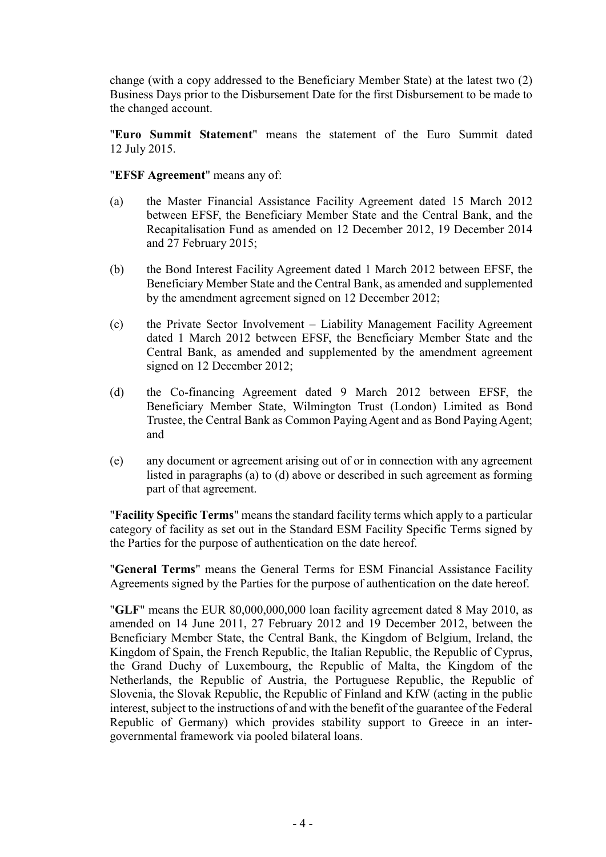change (with a copy addressed to the Beneficiary Member State) at the latest two (2) Business Days prior to the Disbursement Date for the first Disbursement to be made to the changed account.

"Euro Summit Statement" means the statement of the Euro Summit dated 12 July 2015.

#### "EFSF Agreement" means any of:

- (a) the Master Financial Assistance Facility Agreement dated 15 March 2012 between EFSF, the Beneficiary Member State and the Central Bank, and the Recapitalisation Fund as amended on 12 December 2012, 19 December 2014 and 27 February 2015;
- (b) the Bond Interest Facility Agreement dated 1 March 2012 between EFSF, the Beneficiary Member State and the Central Bank, as amended and supplemented by the amendment agreement signed on 12 December 2012;
- (c) the Private Sector Involvement Liability Management Facility Agreement dated 1 March 2012 between EFSF, the Beneficiary Member State and the Central Bank, as amended and supplemented by the amendment agreement signed on 12 December 2012;
- (d) the Co-financing Agreement dated 9 March 2012 between EFSF, the Beneficiary Member State, Wilmington Trust (London) Limited as Bond Trustee, the Central Bank as Common Paying Agent and as Bond Paying Agent; and
- (e) any document or agreement arising out of or in connection with any agreement listed in paragraphs (a) to (d) above or described in such agreement as forming part of that agreement.

"Facility Specific Terms" means the standard facility terms which apply to a particular category of facility as set out in the Standard ESM Facility Specific Terms signed by the Parties for the purpose of authentication on the date hereof.

"General Terms" means the General Terms for ESM Financial Assistance Facility Agreements signed by the Parties for the purpose of authentication on the date hereof.

"GLF" means the EUR 80,000,000,000 loan facility agreement dated 8 May 2010, as amended on 14 June 2011, 27 February 2012 and 19 December 2012, between the Beneficiary Member State, the Central Bank, the Kingdom of Belgium, Ireland, the Kingdom of Spain, the French Republic, the Italian Republic, the Republic of Cyprus, the Grand Duchy of Luxembourg, the Republic of Malta, the Kingdom of the Netherlands, the Republic of Austria, the Portuguese Republic, the Republic of Slovenia, the Slovak Republic, the Republic of Finland and KfW (acting in the public interest, subject to the instructions of and with the benefit of the guarantee of the Federal Republic of Germany) which provides stability support to Greece in an intergovernmental framework via pooled bilateral loans.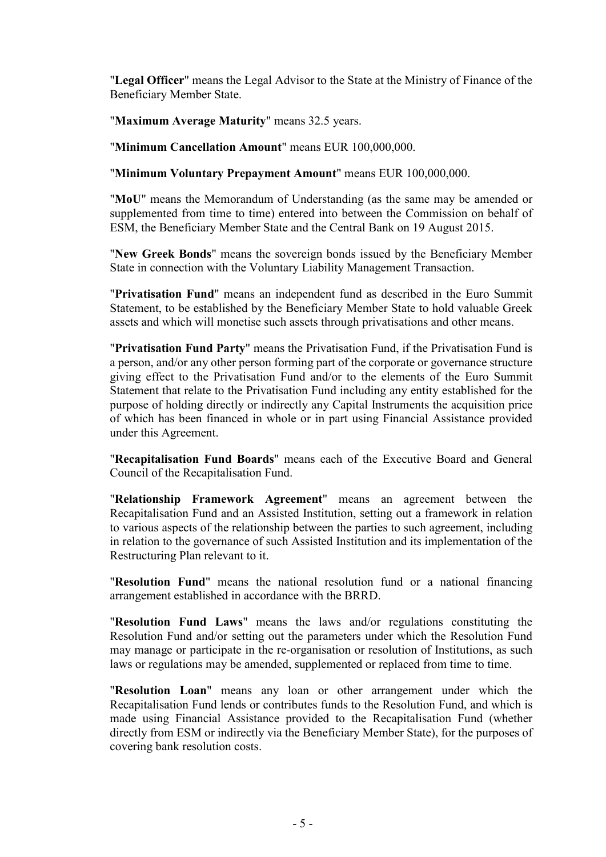"Legal Officer" means the Legal Advisor to the State at the Ministry of Finance of the Beneficiary Member State.

"Maximum Average Maturity" means 32.5 years.

"Minimum Cancellation Amount" means EUR 100,000,000.

"Minimum Voluntary Prepayment Amount" means EUR 100,000,000.

"MoU" means the Memorandum of Understanding (as the same may be amended or supplemented from time to time) entered into between the Commission on behalf of ESM, the Beneficiary Member State and the Central Bank on 19 August 2015.

"New Greek Bonds" means the sovereign bonds issued by the Beneficiary Member State in connection with the Voluntary Liability Management Transaction.

"Privatisation Fund" means an independent fund as described in the Euro Summit Statement, to be established by the Beneficiary Member State to hold valuable Greek assets and which will monetise such assets through privatisations and other means.

"Privatisation Fund Party" means the Privatisation Fund, if the Privatisation Fund is a person, and/or any other person forming part of the corporate or governance structure giving effect to the Privatisation Fund and/or to the elements of the Euro Summit Statement that relate to the Privatisation Fund including any entity established for the purpose of holding directly or indirectly any Capital Instruments the acquisition price of which has been financed in whole or in part using Financial Assistance provided under this Agreement.

"Recapitalisation Fund Boards" means each of the Executive Board and General Council of the Recapitalisation Fund.

"Relationship Framework Agreement" means an agreement between the Recapitalisation Fund and an Assisted Institution, setting out a framework in relation to various aspects of the relationship between the parties to such agreement, including in relation to the governance of such Assisted Institution and its implementation of the Restructuring Plan relevant to it.

"Resolution Fund" means the national resolution fund or a national financing arrangement established in accordance with the BRRD.

"Resolution Fund Laws" means the laws and/or regulations constituting the Resolution Fund and/or setting out the parameters under which the Resolution Fund may manage or participate in the re-organisation or resolution of Institutions, as such laws or regulations may be amended, supplemented or replaced from time to time.

"Resolution Loan" means any loan or other arrangement under which the Recapitalisation Fund lends or contributes funds to the Resolution Fund, and which is made using Financial Assistance provided to the Recapitalisation Fund (whether directly from ESM or indirectly via the Beneficiary Member State), for the purposes of covering bank resolution costs.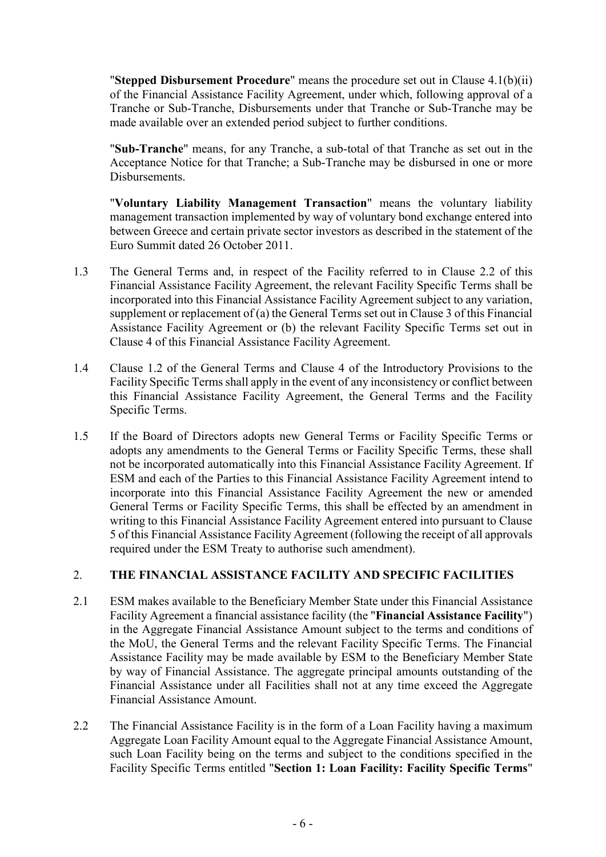"Stepped Disbursement Procedure" means the procedure set out in Clause  $4.1(b)(ii)$ of the Financial Assistance Facility Agreement, under which, following approval of a Tranche or Sub-Tranche, Disbursements under that Tranche or Sub-Tranche may be made available over an extended period subject to further conditions.

"Sub-Tranche" means, for any Tranche, a sub-total of that Tranche as set out in the Acceptance Notice for that Tranche; a Sub-Tranche may be disbursed in one or more Disbursements.

"Voluntary Liability Management Transaction" means the voluntary liability management transaction implemented by way of voluntary bond exchange entered into between Greece and certain private sector investors as described in the statement of the Euro Summit dated 26 October 2011.

- 1.3 The General Terms and, in respect of the Facility referred to in Clause 2.2 of this Financial Assistance Facility Agreement, the relevant Facility Specific Terms shall be incorporated into this Financial Assistance Facility Agreement subject to any variation, supplement or replacement of (a) the General Terms set out in Clause 3 of this Financial Assistance Facility Agreement or (b) the relevant Facility Specific Terms set out in Clause 4 of this Financial Assistance Facility Agreement.
- 1.4 Clause 1.2 of the General Terms and Clause 4 of the Introductory Provisions to the Facility Specific Terms shall apply in the event of any inconsistency or conflict between this Financial Assistance Facility Agreement, the General Terms and the Facility Specific Terms.
- 1.5 If the Board of Directors adopts new General Terms or Facility Specific Terms or adopts any amendments to the General Terms or Facility Specific Terms, these shall not be incorporated automatically into this Financial Assistance Facility Agreement. If ESM and each of the Parties to this Financial Assistance Facility Agreement intend to incorporate into this Financial Assistance Facility Agreement the new or amended General Terms or Facility Specific Terms, this shall be effected by an amendment in writing to this Financial Assistance Facility Agreement entered into pursuant to Clause 5 of this Financial Assistance Facility Agreement (following the receipt of all approvals required under the ESM Treaty to authorise such amendment).

## 2. THE FINANCIAL ASSISTANCE FACILITY AND SPECIFIC FACILITIES

- 2.1 ESM makes available to the Beneficiary Member State under this Financial Assistance Facility Agreement a financial assistance facility (the "Financial Assistance Facility") in the Aggregate Financial Assistance Amount subject to the terms and conditions of the MoU, the General Terms and the relevant Facility Specific Terms. The Financial Assistance Facility may be made available by ESM to the Beneficiary Member State by way of Financial Assistance. The aggregate principal amounts outstanding of the Financial Assistance under all Facilities shall not at any time exceed the Aggregate Financial Assistance Amount.
- 2.2 The Financial Assistance Facility is in the form of a Loan Facility having a maximum Aggregate Loan Facility Amount equal to the Aggregate Financial Assistance Amount, such Loan Facility being on the terms and subject to the conditions specified in the Facility Specific Terms entitled "Section 1: Loan Facility: Facility Specific Terms"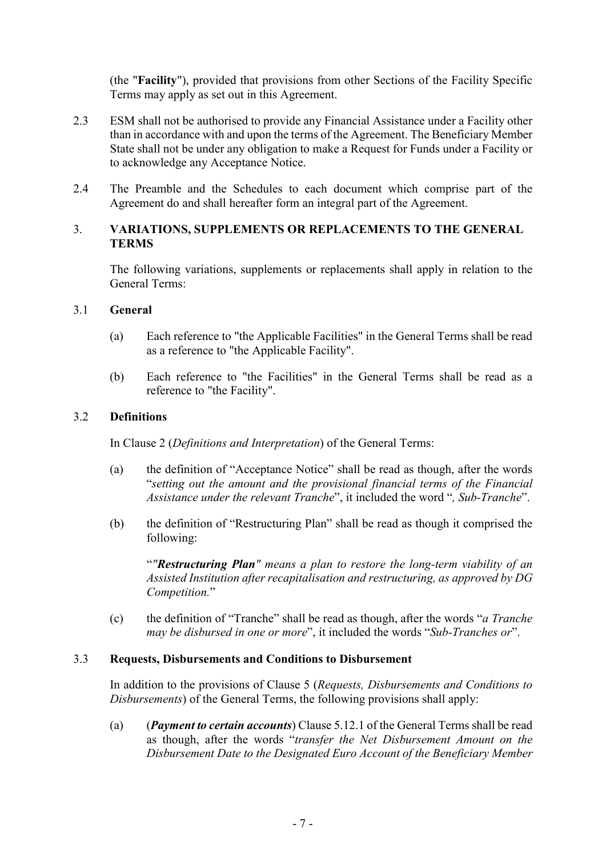(the "Facility"), provided that provisions from other Sections of the Facility Specific Terms may apply as set out in this Agreement.

- 2.3 ESM shall not be authorised to provide any Financial Assistance under a Facility other than in accordance with and upon the terms of the Agreement. The Beneficiary Member State shall not be under any obligation to make a Request for Funds under a Facility or to acknowledge any Acceptance Notice.
- 2.4 The Preamble and the Schedules to each document which comprise part of the Agreement do and shall hereafter form an integral part of the Agreement.

# 3. VARIATIONS, SUPPLEMENTS OR REPLACEMENTS TO THE GENERAL TERMS

The following variations, supplements or replacements shall apply in relation to the General Terms:

#### 3.1 General

- (a) Each reference to "the Applicable Facilities" in the General Terms shall be read as a reference to "the Applicable Facility".
- (b) Each reference to "the Facilities" in the General Terms shall be read as a reference to "the Facility".

#### 3.2 Definitions

In Clause 2 (*Definitions and Interpretation*) of the General Terms:

- (a) the definition of "Acceptance Notice" shall be read as though, after the words "*setting out the amount and the provisional financial terms of the Financial Assistance under the relevant Tranche*", it included the word "*, Sub-Tranche*".
- (b) the definition of "Restructuring Plan" shall be read as though it comprised the following:

"*"Restructuring Plan" means a plan to restore the long-term viability of an Assisted Institution after recapitalisation and restructuring, as approved by DG Competition.*"

(c) the definition of "Tranche" shall be read as though, after the words "*a Tranche may be disbursed in one or more*", it included the words "*Sub-Tranches or*".

#### 3.3 Requests, Disbursements and Conditions to Disbursement

In addition to the provisions of Clause 5 (*Requests, Disbursements and Conditions to Disbursements*) of the General Terms, the following provisions shall apply:

(a) (*Payment to certain accounts*) Clause 5.12.1 of the General Terms shall be read as though, after the words "*transfer the Net Disbursement Amount on the Disbursement Date to the Designated Euro Account of the Beneficiary Member*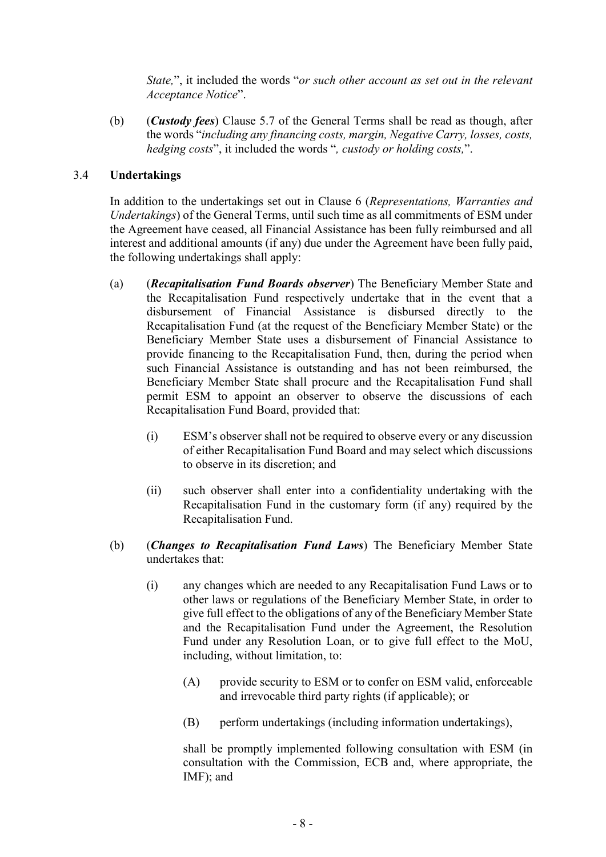*State,*", it included the words "*or such other account as set out in the relevant Acceptance Notice*".

(b) (*Custody fees*) Clause 5.7 of the General Terms shall be read as though, after the words "*including any financing costs, margin, Negative Carry, losses, costs, hedging costs*", it included the words "*, custody or holding costs,*".

## 3.4 Undertakings

In addition to the undertakings set out in Clause 6 (*Representations, Warranties and Undertakings*) of the General Terms, until such time as all commitments of ESM under the Agreement have ceased, all Financial Assistance has been fully reimbursed and all interest and additional amounts (if any) due under the Agreement have been fully paid, the following undertakings shall apply:

- (a) (*Recapitalisation Fund Boards observer*) The Beneficiary Member State and the Recapitalisation Fund respectively undertake that in the event that a disbursement of Financial Assistance is disbursed directly to the Recapitalisation Fund (at the request of the Beneficiary Member State) or the Beneficiary Member State uses a disbursement of Financial Assistance to provide financing to the Recapitalisation Fund, then, during the period when such Financial Assistance is outstanding and has not been reimbursed, the Beneficiary Member State shall procure and the Recapitalisation Fund shall permit ESM to appoint an observer to observe the discussions of each Recapitalisation Fund Board, provided that:
	- (i) ESM's observer shall not be required to observe every or any discussion of either Recapitalisation Fund Board and may select which discussions to observe in its discretion; and
	- (ii) such observer shall enter into a confidentiality undertaking with the Recapitalisation Fund in the customary form (if any) required by the Recapitalisation Fund.
- (b) (*Changes to Recapitalisation Fund Laws*) The Beneficiary Member State undertakes that:
	- (i) any changes which are needed to any Recapitalisation Fund Laws or to other laws or regulations of the Beneficiary Member State, in order to give full effect to the obligations of any of the Beneficiary Member State and the Recapitalisation Fund under the Agreement, the Resolution Fund under any Resolution Loan, or to give full effect to the MoU, including, without limitation, to:
		- (A) provide security to ESM or to confer on ESM valid, enforceable and irrevocable third party rights (if applicable); or
		- (B) perform undertakings (including information undertakings),

shall be promptly implemented following consultation with ESM (in consultation with the Commission, ECB and, where appropriate, the IMF); and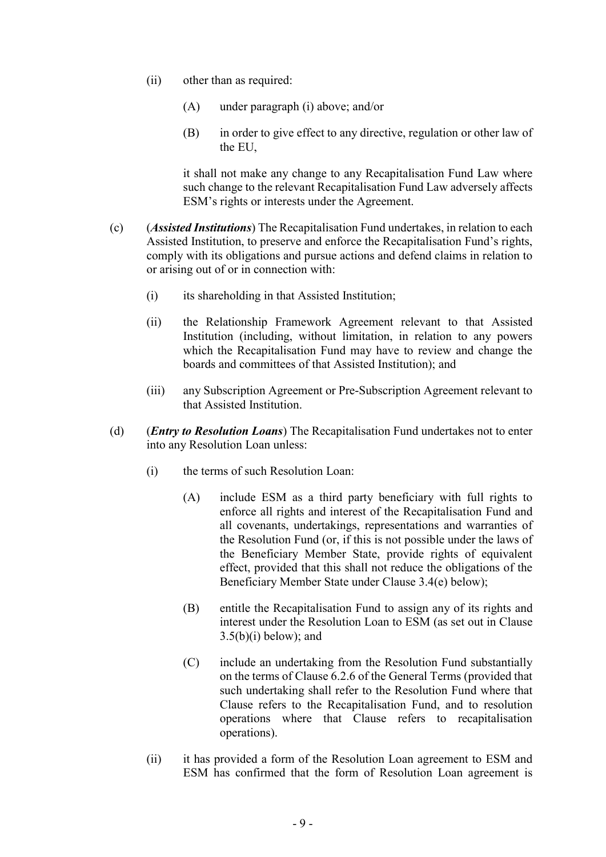- (ii) other than as required:
	- (A) under paragraph (i) above; and/or
	- (B) in order to give effect to any directive, regulation or other law of the EU,

it shall not make any change to any Recapitalisation Fund Law where such change to the relevant Recapitalisation Fund Law adversely affects ESM's rights or interests under the Agreement.

- (c) (*Assisted Institutions*) The Recapitalisation Fund undertakes, in relation to each Assisted Institution, to preserve and enforce the Recapitalisation Fund's rights, comply with its obligations and pursue actions and defend claims in relation to or arising out of or in connection with:
	- (i) its shareholding in that Assisted Institution;
	- (ii) the Relationship Framework Agreement relevant to that Assisted Institution (including, without limitation, in relation to any powers which the Recapitalisation Fund may have to review and change the boards and committees of that Assisted Institution); and
	- (iii) any Subscription Agreement or Pre-Subscription Agreement relevant to that Assisted Institution.
- (d) (*Entry to Resolution Loans*) The Recapitalisation Fund undertakes not to enter into any Resolution Loan unless:
	- (i) the terms of such Resolution Loan:
		- (A) include ESM as a third party beneficiary with full rights to enforce all rights and interest of the Recapitalisation Fund and all covenants, undertakings, representations and warranties of the Resolution Fund (or, if this is not possible under the laws of the Beneficiary Member State, provide rights of equivalent effect, provided that this shall not reduce the obligations of the Beneficiary Member State under Clause 3.4(e) below);
		- (B) entitle the Recapitalisation Fund to assign any of its rights and interest under the Resolution Loan to ESM (as set out in Clause  $3.5(b)(i)$  below); and
		- (C) include an undertaking from the Resolution Fund substantially on the terms of Clause 6.2.6 of the General Terms (provided that such undertaking shall refer to the Resolution Fund where that Clause refers to the Recapitalisation Fund, and to resolution operations where that Clause refers to recapitalisation operations).
	- (ii) it has provided a form of the Resolution Loan agreement to ESM and ESM has confirmed that the form of Resolution Loan agreement is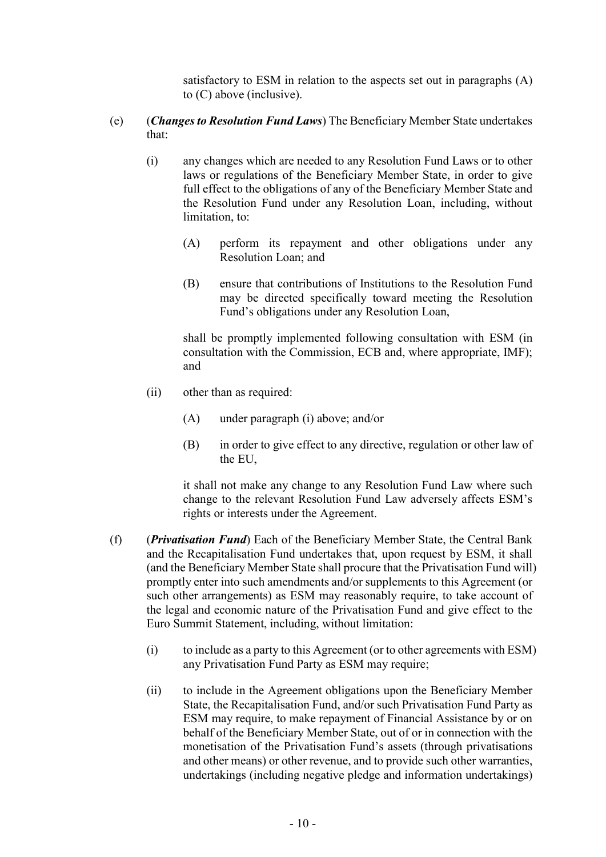satisfactory to ESM in relation to the aspects set out in paragraphs (A) to (C) above (inclusive).

- (e) (*Changes to Resolution Fund Laws*) The Beneficiary Member State undertakes that:
	- (i) any changes which are needed to any Resolution Fund Laws or to other laws or regulations of the Beneficiary Member State, in order to give full effect to the obligations of any of the Beneficiary Member State and the Resolution Fund under any Resolution Loan, including, without limitation, to:
		- (A) perform its repayment and other obligations under any Resolution Loan; and
		- (B) ensure that contributions of Institutions to the Resolution Fund may be directed specifically toward meeting the Resolution Fund's obligations under any Resolution Loan,

shall be promptly implemented following consultation with ESM (in consultation with the Commission, ECB and, where appropriate, IMF); and

- (ii) other than as required:
	- (A) under paragraph (i) above; and/or
	- (B) in order to give effect to any directive, regulation or other law of the EU,

it shall not make any change to any Resolution Fund Law where such change to the relevant Resolution Fund Law adversely affects ESM's rights or interests under the Agreement.

- (f) (*Privatisation Fund*) Each of the Beneficiary Member State, the Central Bank and the Recapitalisation Fund undertakes that, upon request by ESM, it shall (and the Beneficiary Member State shall procure that the Privatisation Fund will) promptly enter into such amendments and/or supplements to this Agreement (or such other arrangements) as ESM may reasonably require, to take account of the legal and economic nature of the Privatisation Fund and give effect to the Euro Summit Statement, including, without limitation:
	- (i) to include as a party to this Agreement (or to other agreements with ESM) any Privatisation Fund Party as ESM may require;
	- (ii) to include in the Agreement obligations upon the Beneficiary Member State, the Recapitalisation Fund, and/or such Privatisation Fund Party as ESM may require, to make repayment of Financial Assistance by or on behalf of the Beneficiary Member State, out of or in connection with the monetisation of the Privatisation Fund's assets (through privatisations and other means) or other revenue, and to provide such other warranties, undertakings (including negative pledge and information undertakings)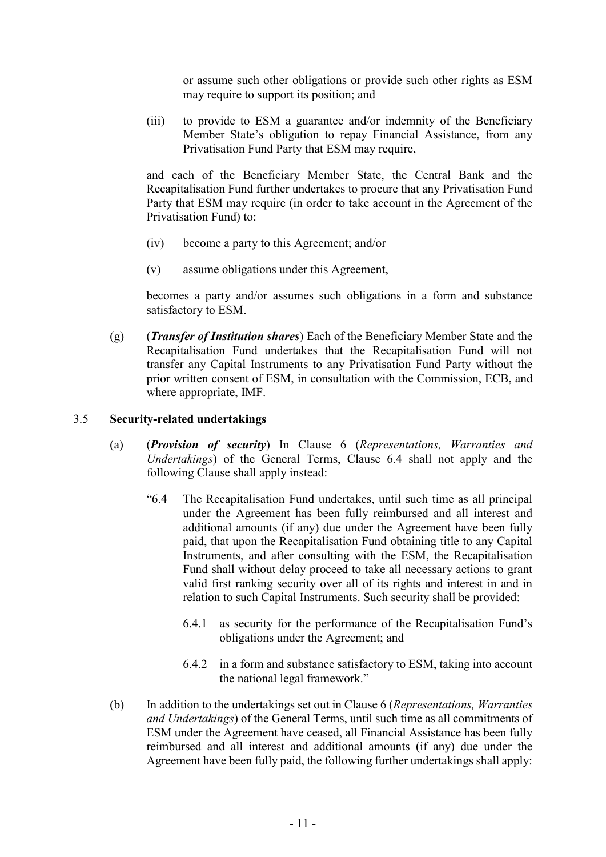or assume such other obligations or provide such other rights as ESM may require to support its position; and

(iii) to provide to ESM a guarantee and/or indemnity of the Beneficiary Member State's obligation to repay Financial Assistance, from any Privatisation Fund Party that ESM may require,

and each of the Beneficiary Member State, the Central Bank and the Recapitalisation Fund further undertakes to procure that any Privatisation Fund Party that ESM may require (in order to take account in the Agreement of the Privatisation Fund) to:

- (iv) become a party to this Agreement; and/or
- (v) assume obligations under this Agreement,

becomes a party and/or assumes such obligations in a form and substance satisfactory to ESM.

(g) (*Transfer of Institution shares*) Each of the Beneficiary Member State and the Recapitalisation Fund undertakes that the Recapitalisation Fund will not transfer any Capital Instruments to any Privatisation Fund Party without the prior written consent of ESM, in consultation with the Commission, ECB, and where appropriate, IMF.

#### 3.5 Security-related undertakings

- (a) (*Provision of security*) In Clause 6 (*Representations, Warranties and Undertakings*) of the General Terms, Clause 6.4 shall not apply and the following Clause shall apply instead:
	- "6.4 The Recapitalisation Fund undertakes, until such time as all principal under the Agreement has been fully reimbursed and all interest and additional amounts (if any) due under the Agreement have been fully paid, that upon the Recapitalisation Fund obtaining title to any Capital Instruments, and after consulting with the ESM, the Recapitalisation Fund shall without delay proceed to take all necessary actions to grant valid first ranking security over all of its rights and interest in and in relation to such Capital Instruments. Such security shall be provided:
		- 6.4.1 as security for the performance of the Recapitalisation Fund's obligations under the Agreement; and
		- 6.4.2 in a form and substance satisfactory to ESM, taking into account the national legal framework."
- (b) In addition to the undertakings set out in Clause 6 (*Representations, Warranties and Undertakings*) of the General Terms, until such time as all commitments of ESM under the Agreement have ceased, all Financial Assistance has been fully reimbursed and all interest and additional amounts (if any) due under the Agreement have been fully paid, the following further undertakings shall apply: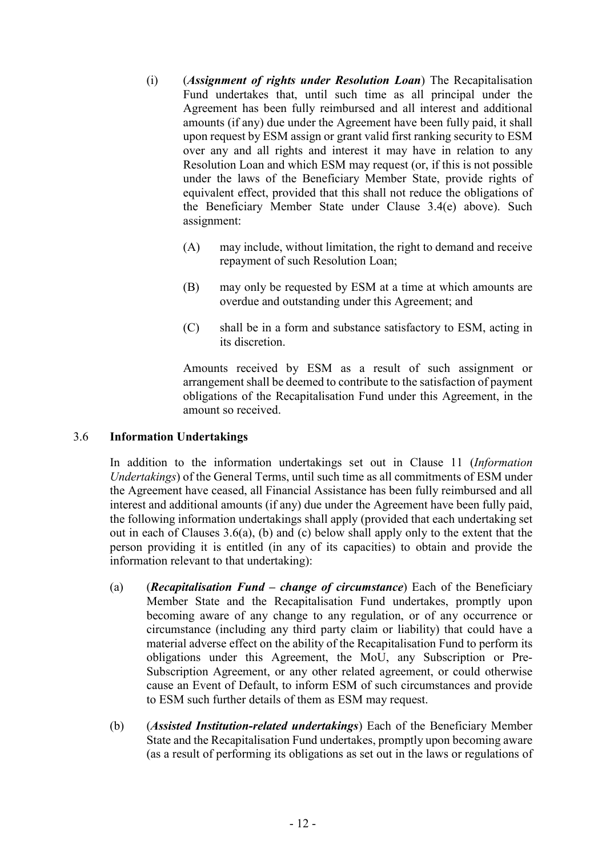- (i) (*Assignment of rights under Resolution Loan*) The Recapitalisation Fund undertakes that, until such time as all principal under the Agreement has been fully reimbursed and all interest and additional amounts (if any) due under the Agreement have been fully paid, it shall upon request by ESM assign or grant valid first ranking security to ESM over any and all rights and interest it may have in relation to any Resolution Loan and which ESM may request (or, if this is not possible under the laws of the Beneficiary Member State, provide rights of equivalent effect, provided that this shall not reduce the obligations of the Beneficiary Member State under Clause 3.4(e) above). Such assignment:
	- (A) may include, without limitation, the right to demand and receive repayment of such Resolution Loan;
	- (B) may only be requested by ESM at a time at which amounts are overdue and outstanding under this Agreement; and
	- (C) shall be in a form and substance satisfactory to ESM, acting in its discretion.

Amounts received by ESM as a result of such assignment or arrangement shall be deemed to contribute to the satisfaction of payment obligations of the Recapitalisation Fund under this Agreement, in the amount so received.

#### 3.6 Information Undertakings

In addition to the information undertakings set out in Clause 11 (*Information Undertakings*) of the General Terms, until such time as all commitments of ESM under the Agreement have ceased, all Financial Assistance has been fully reimbursed and all interest and additional amounts (if any) due under the Agreement have been fully paid, the following information undertakings shall apply (provided that each undertaking set out in each of Clauses 3.6(a), (b) and (c) below shall apply only to the extent that the person providing it is entitled (in any of its capacities) to obtain and provide the information relevant to that undertaking):

- (a) (*Recapitalisation Fund – change of circumstance*) Each of the Beneficiary Member State and the Recapitalisation Fund undertakes, promptly upon becoming aware of any change to any regulation, or of any occurrence or circumstance (including any third party claim or liability) that could have a material adverse effect on the ability of the Recapitalisation Fund to perform its obligations under this Agreement, the MoU, any Subscription or Pre-Subscription Agreement, or any other related agreement, or could otherwise cause an Event of Default, to inform ESM of such circumstances and provide to ESM such further details of them as ESM may request.
- (b) (*Assisted Institution-related undertakings*) Each of the Beneficiary Member State and the Recapitalisation Fund undertakes, promptly upon becoming aware (as a result of performing its obligations as set out in the laws or regulations of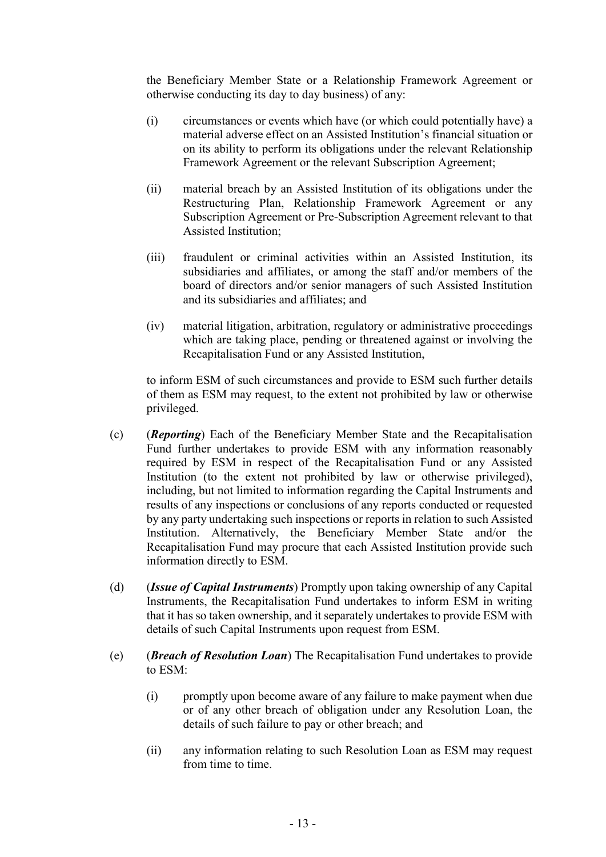the Beneficiary Member State or a Relationship Framework Agreement or otherwise conducting its day to day business) of any:

- (i) circumstances or events which have (or which could potentially have) a material adverse effect on an Assisted Institution's financial situation or on its ability to perform its obligations under the relevant Relationship Framework Agreement or the relevant Subscription Agreement;
- (ii) material breach by an Assisted Institution of its obligations under the Restructuring Plan, Relationship Framework Agreement or any Subscription Agreement or Pre-Subscription Agreement relevant to that Assisted Institution;
- (iii) fraudulent or criminal activities within an Assisted Institution, its subsidiaries and affiliates, or among the staff and/or members of the board of directors and/or senior managers of such Assisted Institution and its subsidiaries and affiliates; and
- (iv) material litigation, arbitration, regulatory or administrative proceedings which are taking place, pending or threatened against or involving the Recapitalisation Fund or any Assisted Institution,

to inform ESM of such circumstances and provide to ESM such further details of them as ESM may request, to the extent not prohibited by law or otherwise privileged.

- (c) (*Reporting*) Each of the Beneficiary Member State and the Recapitalisation Fund further undertakes to provide ESM with any information reasonably required by ESM in respect of the Recapitalisation Fund or any Assisted Institution (to the extent not prohibited by law or otherwise privileged), including, but not limited to information regarding the Capital Instruments and results of any inspections or conclusions of any reports conducted or requested by any party undertaking such inspections or reports in relation to such Assisted Institution. Alternatively, the Beneficiary Member State and/or the Recapitalisation Fund may procure that each Assisted Institution provide such information directly to ESM.
- (d) (*Issue of Capital Instruments*) Promptly upon taking ownership of any Capital Instruments, the Recapitalisation Fund undertakes to inform ESM in writing that it has so taken ownership, and it separately undertakes to provide ESM with details of such Capital Instruments upon request from ESM.
- (e) (*Breach of Resolution Loan*) The Recapitalisation Fund undertakes to provide to ESM:
	- (i) promptly upon become aware of any failure to make payment when due or of any other breach of obligation under any Resolution Loan, the details of such failure to pay or other breach; and
	- (ii) any information relating to such Resolution Loan as ESM may request from time to time.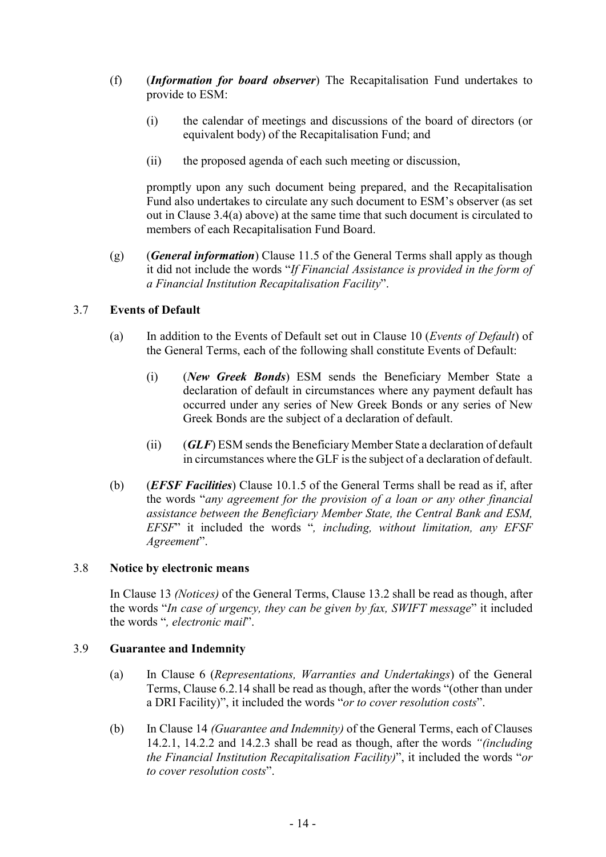- (f) (*Information for board observer*) The Recapitalisation Fund undertakes to provide to ESM:
	- (i) the calendar of meetings and discussions of the board of directors (or equivalent body) of the Recapitalisation Fund; and
	- (ii) the proposed agenda of each such meeting or discussion,

promptly upon any such document being prepared, and the Recapitalisation Fund also undertakes to circulate any such document to ESM's observer (as set out in Clause 3.4(a) above) at the same time that such document is circulated to members of each Recapitalisation Fund Board.

(g) (*General information*) Clause 11.5 of the General Terms shall apply as though it did not include the words "*If Financial Assistance is provided in the form of a Financial Institution Recapitalisation Facility*".

# 3.7 Events of Default

- (a) In addition to the Events of Default set out in Clause 10 (*Events of Default*) of the General Terms, each of the following shall constitute Events of Default:
	- (i) (*New Greek Bonds*) ESM sends the Beneficiary Member State a declaration of default in circumstances where any payment default has occurred under any series of New Greek Bonds or any series of New Greek Bonds are the subject of a declaration of default.
	- (ii) (*GLF*) ESM sends the Beneficiary Member State a declaration of default in circumstances where the GLF is the subject of a declaration of default.
- (b) (*EFSF Facilities*) Clause 10.1.5 of the General Terms shall be read as if, after the words "*any agreement for the provision of a loan or any other financial assistance between the Beneficiary Member State, the Central Bank and ESM, EFSF*" it included the words "*, including, without limitation, any EFSF Agreement*".

#### 3.8 Notice by electronic means

In Clause 13 *(Notices)* of the General Terms, Clause 13.2 shall be read as though, after the words "*In case of urgency, they can be given by fax, SWIFT message*" it included the words "*, electronic mail*".

## 3.9 Guarantee and Indemnity

- (a) In Clause 6 (*Representations, Warranties and Undertakings*) of the General Terms, Clause 6.2.14 shall be read as though, after the words "(other than under a DRI Facility)", it included the words "*or to cover resolution costs*".
- (b) In Clause 14 *(Guarantee and Indemnity)* of the General Terms, each of Clauses 14.2.1, 14.2.2 and 14.2.3 shall be read as though, after the words *"(including the Financial Institution Recapitalisation Facility)*", it included the words "*or to cover resolution costs*".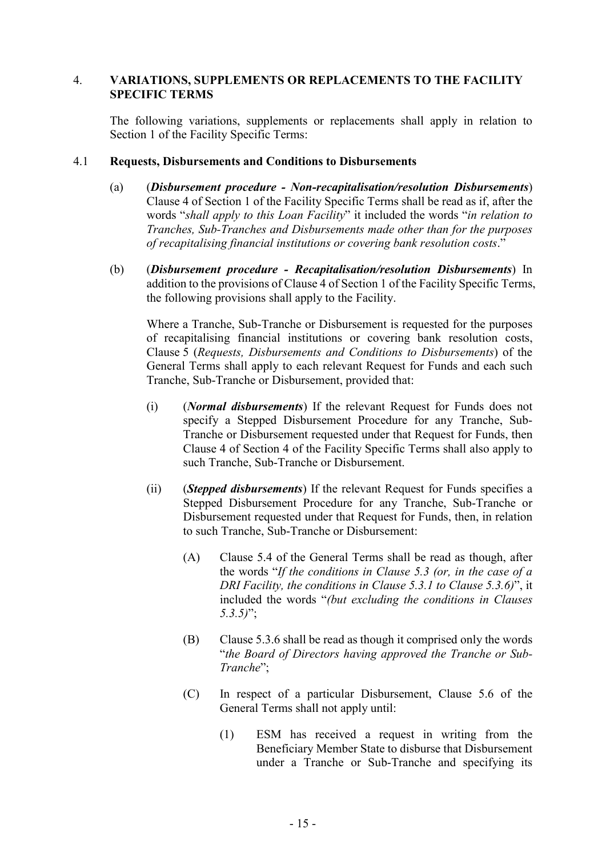### 4. VARIATIONS, SUPPLEMENTS OR REPLACEMENTS TO THE FACILITY SPECIFIC TERMS

The following variations, supplements or replacements shall apply in relation to Section 1 of the Facility Specific Terms:

#### 4.1 Requests, Disbursements and Conditions to Disbursements

- (a) (*Disbursement procedure - Non-recapitalisation/resolution Disbursements*) Clause 4 of Section 1 of the Facility Specific Terms shall be read as if, after the words "*shall apply to this Loan Facility*" it included the words "*in relation to Tranches, Sub-Tranches and Disbursements made other than for the purposes of recapitalising financial institutions or covering bank resolution costs*."
- (b) (*Disbursement procedure - Recapitalisation/resolution Disbursements*) In addition to the provisions of Clause 4 of Section 1 of the Facility Specific Terms, the following provisions shall apply to the Facility.

Where a Tranche, Sub-Tranche or Disbursement is requested for the purposes of recapitalising financial institutions or covering bank resolution costs, Clause 5 (*Requests, Disbursements and Conditions to Disbursements*) of the General Terms shall apply to each relevant Request for Funds and each such Tranche, Sub-Tranche or Disbursement, provided that:

- (i) (*Normal disbursements*) If the relevant Request for Funds does not specify a Stepped Disbursement Procedure for any Tranche, Sub-Tranche or Disbursement requested under that Request for Funds, then Clause 4 of Section 4 of the Facility Specific Terms shall also apply to such Tranche, Sub-Tranche or Disbursement.
- (ii) (*Stepped disbursements*) If the relevant Request for Funds specifies a Stepped Disbursement Procedure for any Tranche, Sub-Tranche or Disbursement requested under that Request for Funds, then, in relation to such Tranche, Sub-Tranche or Disbursement:
	- (A) Clause 5.4 of the General Terms shall be read as though, after the words "*If the conditions in Clause 5.3 (or, in the case of a DRI Facility, the conditions in Clause 5.3.1 to Clause 5.3.6)*", it included the words "*(but excluding the conditions in Clauses 5.3.5)*";
	- (B) Clause 5.3.6 shall be read as though it comprised only the words "*the Board of Directors having approved the Tranche or Sub-Tranche*";
	- (C) In respect of a particular Disbursement, Clause 5.6 of the General Terms shall not apply until:
		- (1) ESM has received a request in writing from the Beneficiary Member State to disburse that Disbursement under a Tranche or Sub-Tranche and specifying its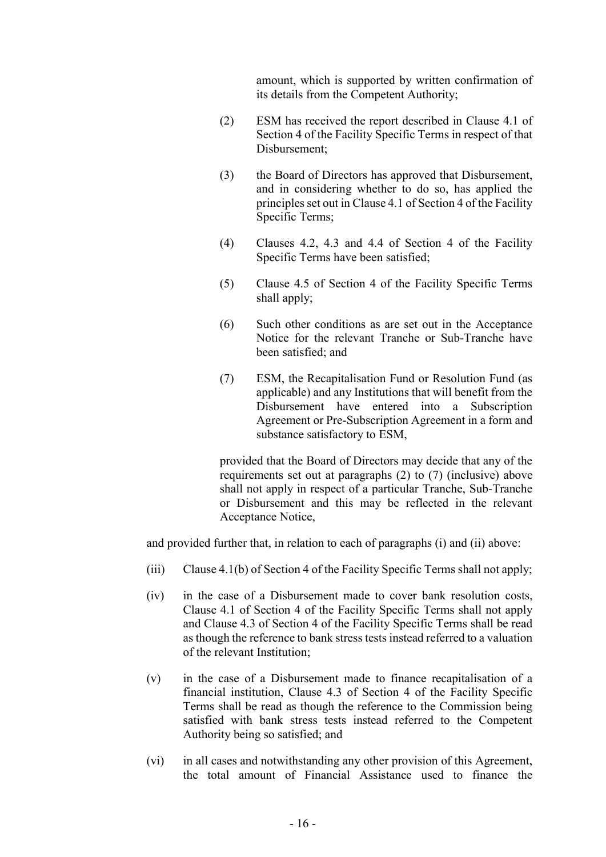amount, which is supported by written confirmation of its details from the Competent Authority;

- (2) ESM has received the report described in Clause 4.1 of Section 4 of the Facility Specific Terms in respect of that Disbursement;
- (3) the Board of Directors has approved that Disbursement, and in considering whether to do so, has applied the principles set out in Clause 4.1 of Section 4 of the Facility Specific Terms;
- (4) Clauses 4.2, 4.3 and 4.4 of Section 4 of the Facility Specific Terms have been satisfied;
- (5) Clause 4.5 of Section 4 of the Facility Specific Terms shall apply;
- (6) Such other conditions as are set out in the Acceptance Notice for the relevant Tranche or Sub-Tranche have been satisfied; and
- (7) ESM, the Recapitalisation Fund or Resolution Fund (as applicable) and any Institutions that will benefit from the Disbursement have entered into a Subscription Agreement or Pre-Subscription Agreement in a form and substance satisfactory to ESM,

provided that the Board of Directors may decide that any of the requirements set out at paragraphs (2) to (7) (inclusive) above shall not apply in respect of a particular Tranche, Sub-Tranche or Disbursement and this may be reflected in the relevant Acceptance Notice,

and provided further that, in relation to each of paragraphs (i) and (ii) above:

- (iii) Clause 4.1(b) of Section 4 of the Facility Specific Terms shall not apply;
- (iv) in the case of a Disbursement made to cover bank resolution costs, Clause 4.1 of Section 4 of the Facility Specific Terms shall not apply and Clause 4.3 of Section 4 of the Facility Specific Terms shall be read as though the reference to bank stress tests instead referred to a valuation of the relevant Institution;
- (v) in the case of a Disbursement made to finance recapitalisation of a financial institution, Clause 4.3 of Section 4 of the Facility Specific Terms shall be read as though the reference to the Commission being satisfied with bank stress tests instead referred to the Competent Authority being so satisfied; and
- (vi) in all cases and notwithstanding any other provision of this Agreement, the total amount of Financial Assistance used to finance the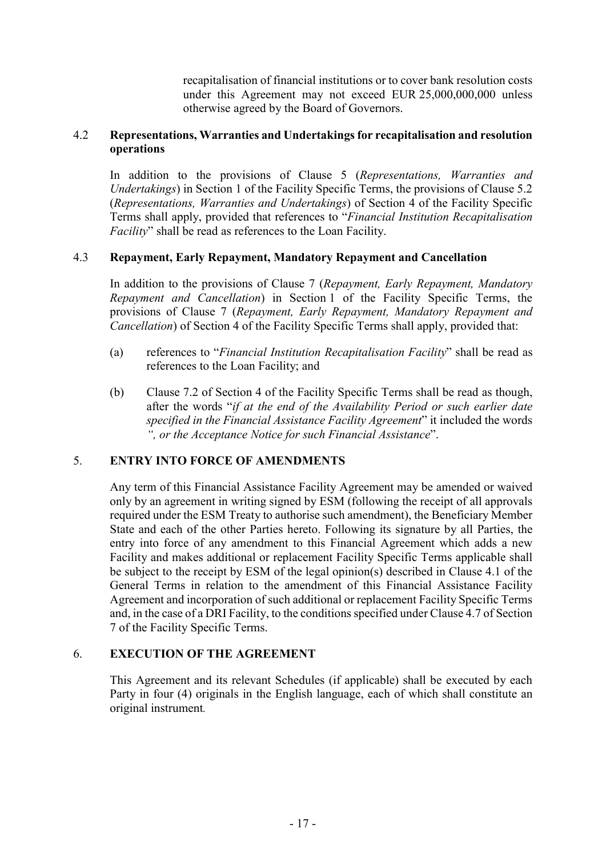recapitalisation of financial institutions or to cover bank resolution costs under this Agreement may not exceed EUR 25,000,000,000 unless otherwise agreed by the Board of Governors.

#### 4.2 Representations, Warranties and Undertakings for recapitalisation and resolution operations

In addition to the provisions of Clause 5 (*Representations, Warranties and Undertakings*) in Section 1 of the Facility Specific Terms, the provisions of Clause 5.2 (*Representations, Warranties and Undertakings*) of Section 4 of the Facility Specific Terms shall apply, provided that references to "*Financial Institution Recapitalisation Facility*" shall be read as references to the Loan Facility.

#### 4.3 Repayment, Early Repayment, Mandatory Repayment and Cancellation

In addition to the provisions of Clause 7 (*Repayment, Early Repayment, Mandatory Repayment and Cancellation*) in Section 1 of the Facility Specific Terms, the provisions of Clause 7 (*Repayment, Early Repayment, Mandatory Repayment and Cancellation*) of Section 4 of the Facility Specific Terms shall apply, provided that:

- (a) references to "*Financial Institution Recapitalisation Facility*" shall be read as references to the Loan Facility; and
- (b) Clause 7.2 of Section 4 of the Facility Specific Terms shall be read as though, after the words "*if at the end of the Availability Period or such earlier date specified in the Financial Assistance Facility Agreement*" it included the words *", or the Acceptance Notice for such Financial Assistance*".

## 5. ENTRY INTO FORCE OF AMENDMENTS

Any term of this Financial Assistance Facility Agreement may be amended or waived only by an agreement in writing signed by ESM (following the receipt of all approvals required under the ESM Treaty to authorise such amendment), the Beneficiary Member State and each of the other Parties hereto. Following its signature by all Parties, the entry into force of any amendment to this Financial Agreement which adds a new Facility and makes additional or replacement Facility Specific Terms applicable shall be subject to the receipt by ESM of the legal opinion(s) described in Clause 4.1 of the General Terms in relation to the amendment of this Financial Assistance Facility Agreement and incorporation of such additional or replacement Facility Specific Terms and, in the case of a DRI Facility, to the conditions specified under Clause 4.7 of Section 7 of the Facility Specific Terms.

#### 6. EXECUTION OF THE AGREEMENT

This Agreement and its relevant Schedules (if applicable) shall be executed by each Party in four (4) originals in the English language, each of which shall constitute an original instrument*.*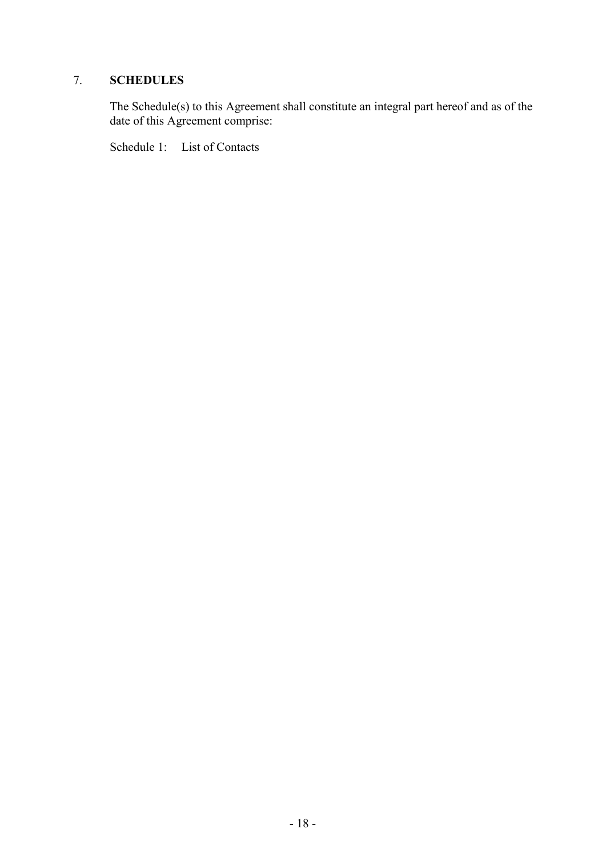# 7. SCHEDULES

The Schedule(s) to this Agreement shall constitute an integral part hereof and as of the date of this Agreement comprise:

Schedule 1: List of Contacts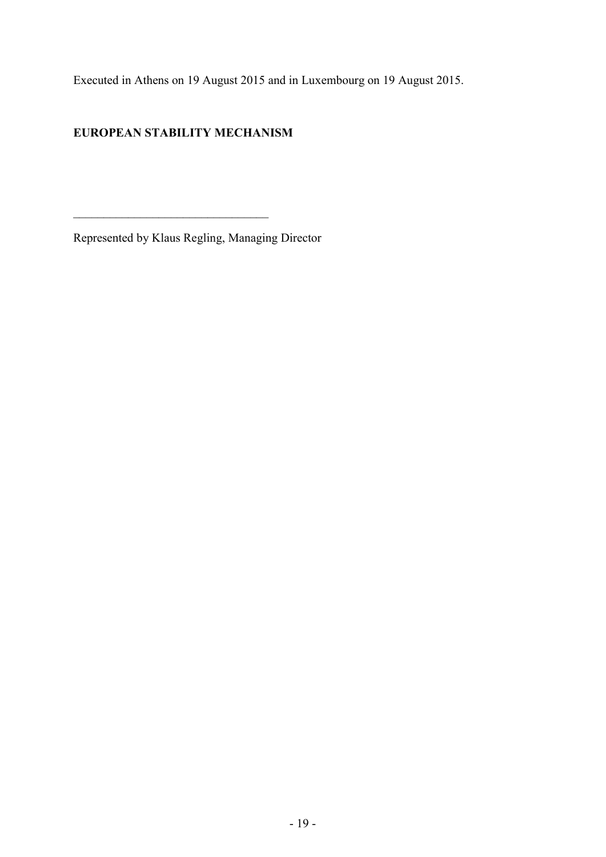Executed in Athens on 19 August 2015 and in Luxembourg on 19 August 2015.

# EUROPEAN STABILITY MECHANISM

\_\_\_\_\_\_\_\_\_\_\_\_\_\_\_\_\_\_\_\_\_\_\_\_\_\_\_\_\_\_\_\_

Represented by Klaus Regling, Managing Director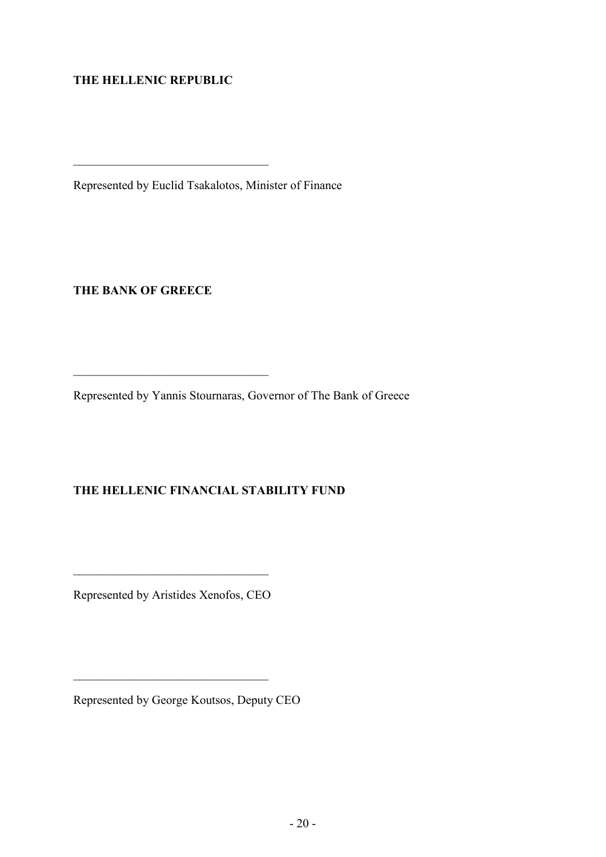# THE HELLENIC REPUBLIC

 $\frac{1}{\sqrt{2}}$  ,  $\frac{1}{\sqrt{2}}$  ,  $\frac{1}{\sqrt{2}}$  ,  $\frac{1}{\sqrt{2}}$  ,  $\frac{1}{\sqrt{2}}$  ,  $\frac{1}{\sqrt{2}}$  ,  $\frac{1}{\sqrt{2}}$  ,  $\frac{1}{\sqrt{2}}$  ,  $\frac{1}{\sqrt{2}}$  ,  $\frac{1}{\sqrt{2}}$  ,  $\frac{1}{\sqrt{2}}$  ,  $\frac{1}{\sqrt{2}}$  ,  $\frac{1}{\sqrt{2}}$  ,  $\frac{1}{\sqrt{2}}$  ,  $\frac{1}{\sqrt{2}}$ 

\_\_\_\_\_\_\_\_\_\_\_\_\_\_\_\_\_\_\_\_\_\_\_\_\_\_\_\_\_\_\_\_

Represented by Euclid Tsakalotos, Minister of Finance

THE BANK OF GREECE

Represented by Yannis Stournaras, Governor of The Bank of Greece

# THE HELLENIC FINANCIAL STABILITY FUND

Represented by Aristides Xenofos, CEO

 $\mathcal{L}_\text{max}$  and  $\mathcal{L}_\text{max}$  and  $\mathcal{L}_\text{max}$  and  $\mathcal{L}_\text{max}$ 

Represented by George Koutsos, Deputy CEO

 $\mathcal{L}_\text{max}$  , where  $\mathcal{L}_\text{max}$  and  $\mathcal{L}_\text{max}$  and  $\mathcal{L}_\text{max}$